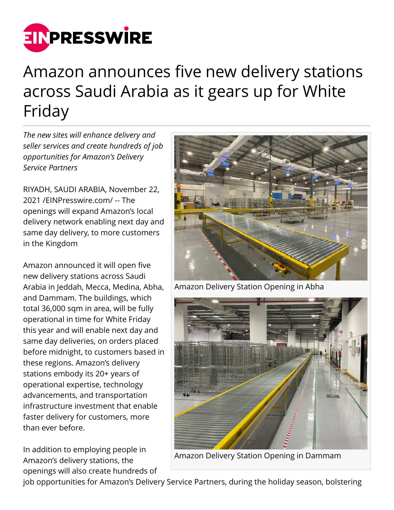

## Amazon announces five new delivery stations across Saudi Arabia as it gears up for White Friday

*The new sites will enhance delivery and seller services and create hundreds of job opportunities for Amazon's Delivery Service Partners*

RIYADH, SAUDI ARABIA, November 22, 2021 /[EINPresswire.com](http://www.einpresswire.com)/ -- The openings will expand Amazon's local delivery network enabling next day and same day delivery, to more customers in the Kingdom

Amazon announced it will open five new delivery stations across Saudi Arabia in Jeddah, Mecca, Medina, Abha, and Dammam. The buildings, which total 36,000 sqm in area, will be fully operational in time for White Friday this year and will enable next day and same day deliveries, on orders placed before midnight, to customers based in these regions. Amazon's delivery stations embody its 20+ years of operational expertise, technology advancements, and transportation infrastructure investment that enable faster delivery for customers, more than ever before.

In addition to employing people in Amazon's delivery stations, the openings will also create hundreds of



Amazon Delivery Station Opening in Abha



Amazon Delivery Station Opening in Dammam

job opportunities for Amazon's Delivery Service Partners, during the holiday season, bolstering